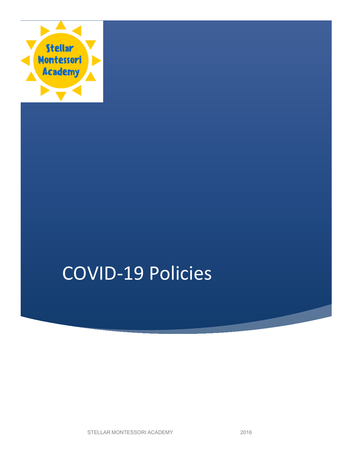

# COVID-19 Policies

STELLAR MONTESSORI ACADEMY 2016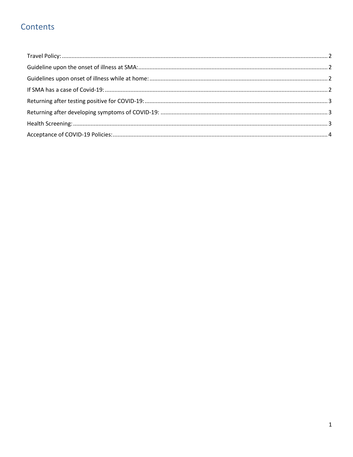# Contents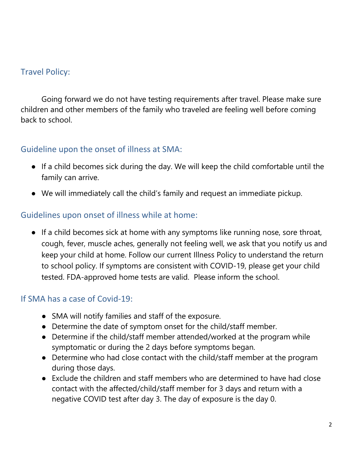### <span id="page-2-0"></span>Travel Policy:

Going forward we do not have testing requirements after travel. Please make sure children and other members of the family who traveled are feeling well before coming back to school.

#### <span id="page-2-1"></span>Guideline upon the onset of illness at SMA:

- If a child becomes sick during the day. We will keep the child comfortable until the family can arrive.
- We will immediately call the child's family and request an immediate pickup.

#### <span id="page-2-2"></span>Guidelines upon onset of illness while at home:

● If a child becomes sick at home with any symptoms like running nose, sore throat, cough, fever, muscle aches, generally not feeling well, we ask that you notify us and keep your child at home. Follow our current Illness Policy to understand the return to school policy. If symptoms are consistent with COVID-19, please get your child tested. FDA-approved home tests are valid. Please inform the school.

#### <span id="page-2-3"></span>If SMA has a case of Covid-19:

- SMA will notify families and staff of the exposure.
- Determine the date of symptom onset for the child/staff member.
- Determine if the child/staff member attended/worked at the program while symptomatic or during the 2 days before symptoms began.
- Determine who had close contact with the child/staff member at the program during those days.
- Exclude the children and staff members who are determined to have had close contact with the affected/child/staff member for 3 days and return with a negative COVID test after day 3. The day of exposure is the day 0.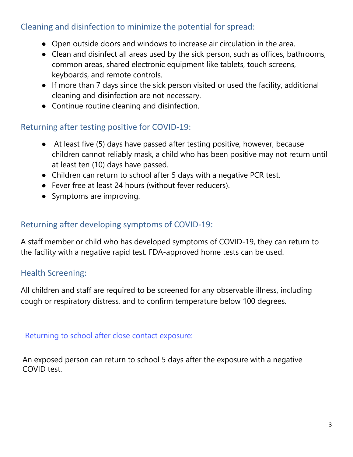## Cleaning and disinfection to minimize the potential for spread:

- Open outside doors and windows to increase air circulation in the area.
- Clean and disinfect all areas used by the sick person, such as offices, bathrooms, common areas, shared electronic equipment like tablets, touch screens, keyboards, and remote controls.
- If more than 7 days since the sick person visited or used the facility, additional cleaning and disinfection are not necessary.
- Continue routine cleaning and disinfection.

## <span id="page-3-0"></span>Returning after testing positive for COVID-19:

- At least five (5) days have passed after testing positive, however, because children cannot reliably mask, a child who has been positive may not return until at least ten (10) days have passed.
- Children can return to school after 5 days with a negative PCR test.
- Fever free at least 24 hours (without fever reducers).
- Symptoms are improving.

## <span id="page-3-1"></span>Returning after developing symptoms of COVID-19:

A staff member or child who has developed symptoms of COVID-19, they can return to the facility with a negative rapid test. FDA-approved home tests can be used.

# <span id="page-3-2"></span>Health Screening:

All children and staff are required to be screened for any observable illness, including cough or respiratory distress, and to confirm temperature below 100 degrees.

<span id="page-3-3"></span>Returning to school after close contact exposure:

An exposed person can return to school 5 days after the exposure with a negative COVID test.